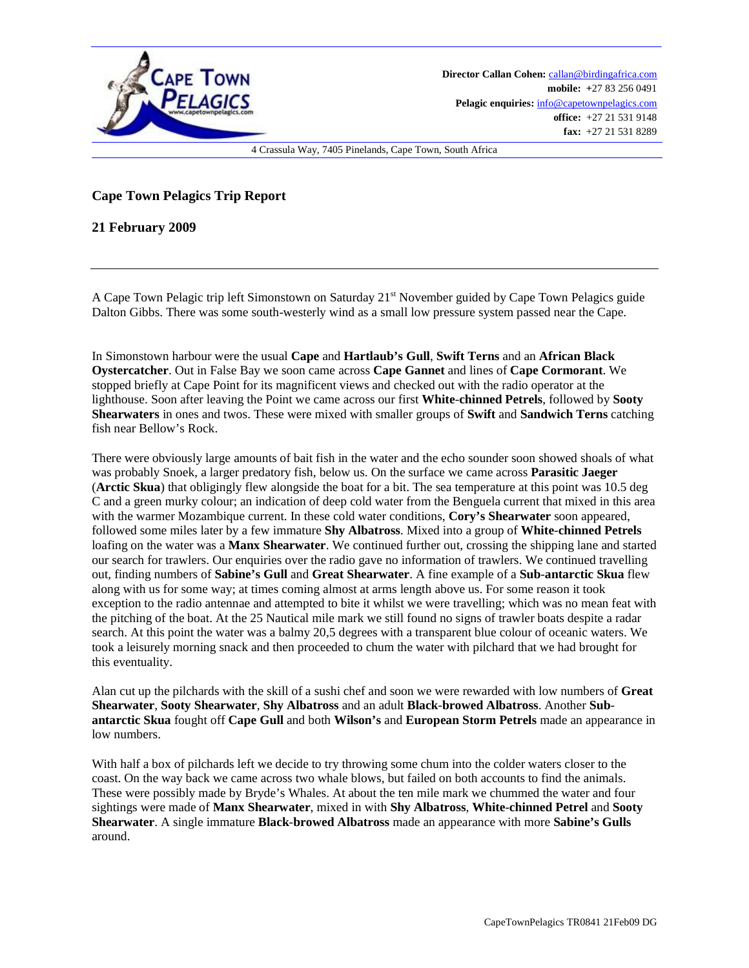

## **Cape Town Pelagics Trip Report**

**21 February 2009** 

A Cape Town Pelagic trip left Simonstown on Saturday 21st November guided by Cape Town Pelagics guide Dalton Gibbs. There was some south-westerly wind as a small low pressure system passed near the Cape.

In Simonstown harbour were the usual **Cape** and **Hartlaub's Gull**, **Swift Terns** and an **African Black Oystercatcher**. Out in False Bay we soon came across **Cape Gannet** and lines of **Cape Cormorant**. We stopped briefly at Cape Point for its magnificent views and checked out with the radio operator at the lighthouse. Soon after leaving the Point we came across our first **White**-**chinned Petrels**, followed by **Sooty Shearwaters** in ones and twos. These were mixed with smaller groups of **Swift** and **Sandwich Terns** catching fish near Bellow's Rock.

There were obviously large amounts of bait fish in the water and the echo sounder soon showed shoals of what was probably Snoek, a larger predatory fish, below us. On the surface we came across **Parasitic Jaeger** (**Arctic Skua**) that obligingly flew alongside the boat for a bit. The sea temperature at this point was 10.5 deg C and a green murky colour; an indication of deep cold water from the Benguela current that mixed in this area with the warmer Mozambique current. In these cold water conditions, **Cory's Shearwater** soon appeared, followed some miles later by a few immature **Shy Albatross**. Mixed into a group of **White**-**chinned Petrels** loafing on the water was a **Manx Shearwater**. We continued further out, crossing the shipping lane and started our search for trawlers. Our enquiries over the radio gave no information of trawlers. We continued travelling out, finding numbers of **Sabine's Gull** and **Great Shearwater**. A fine example of a **Sub**-**antarctic Skua** flew along with us for some way; at times coming almost at arms length above us. For some reason it took exception to the radio antennae and attempted to bite it whilst we were travelling; which was no mean feat with the pitching of the boat. At the 25 Nautical mile mark we still found no signs of trawler boats despite a radar search. At this point the water was a balmy 20,5 degrees with a transparent blue colour of oceanic waters. We took a leisurely morning snack and then proceeded to chum the water with pilchard that we had brought for this eventuality.

Alan cut up the pilchards with the skill of a sushi chef and soon we were rewarded with low numbers of **Great Shearwater**, **Sooty Shearwater**, **Shy Albatross** and an adult **Black**-**browed Albatross**. Another **Subantarctic Skua** fought off **Cape Gull** and both **Wilson's** and **European Storm Petrels** made an appearance in low numbers.

With half a box of pilchards left we decide to try throwing some chum into the colder waters closer to the coast. On the way back we came across two whale blows, but failed on both accounts to find the animals. These were possibly made by Bryde's Whales. At about the ten mile mark we chummed the water and four sightings were made of **Manx Shearwater**, mixed in with **Shy Albatross**, **White**-**chinned Petrel** and **Sooty Shearwater**. A single immature **Black**-**browed Albatross** made an appearance with more **Sabine's Gulls** around.